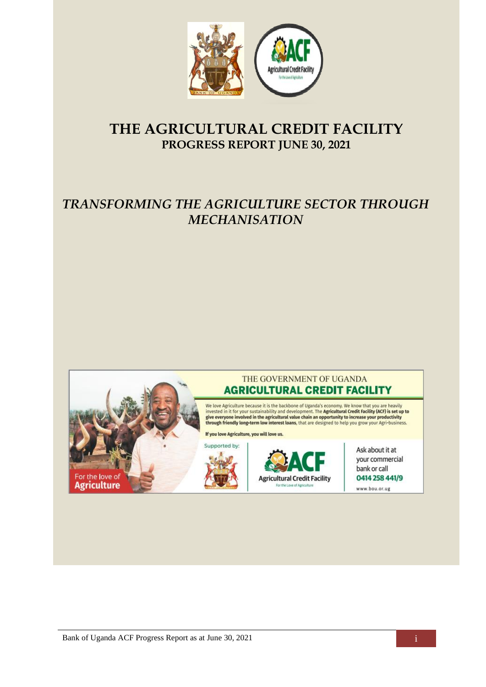

# **THE AGRICULTURAL CREDIT FACILITY PROGRESS REPORT JUNE 30, 2021**

# *TRANSFORMING THE AGRICULTURE SECTOR THROUGH MECHANISATION*

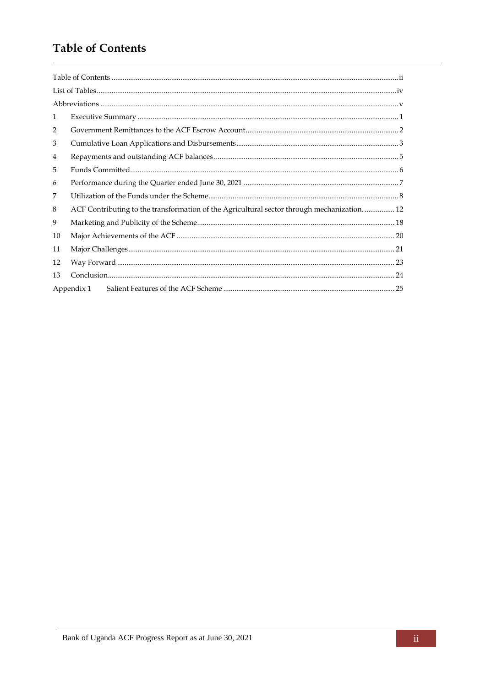## <span id="page-1-0"></span>**Table of Contents**

| $\mathbf{1}$   |                                                                                            |  |
|----------------|--------------------------------------------------------------------------------------------|--|
| 2              |                                                                                            |  |
| 3              |                                                                                            |  |
| $\overline{4}$ |                                                                                            |  |
| 5              |                                                                                            |  |
| 6              |                                                                                            |  |
| 7              |                                                                                            |  |
| 8              | ACF Contributing to the transformation of the Agricultural sector through mechanization 12 |  |
| 9              |                                                                                            |  |
| 10             |                                                                                            |  |
| 11             |                                                                                            |  |
| 12             |                                                                                            |  |
| 13             |                                                                                            |  |
|                | Appendix 1                                                                                 |  |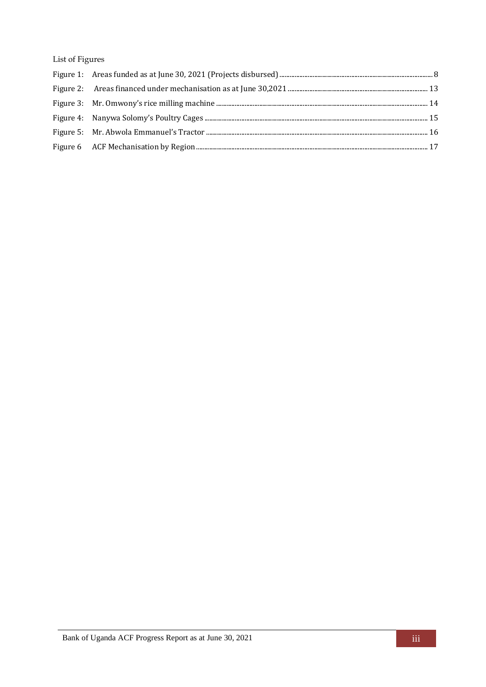List of Figures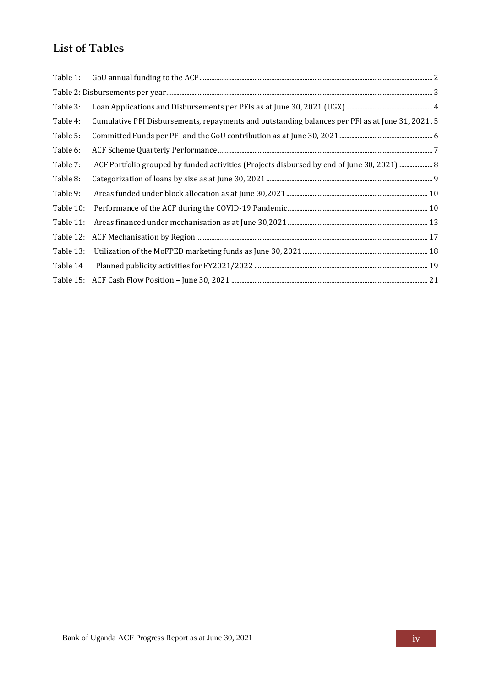# <span id="page-3-0"></span>**List of Tables**

| Table 1:  |                                                                                                 |
|-----------|-------------------------------------------------------------------------------------------------|
|           |                                                                                                 |
| Table 3:  |                                                                                                 |
| Table 4:  | Cumulative PFI Disbursements, repayments and outstanding balances per PFI as at June 31, 2021.5 |
| Table 5:  |                                                                                                 |
| Table 6:  |                                                                                                 |
| Table 7:  | ACF Portfolio grouped by funded activities (Projects disbursed by end of June 30, 2021)  8      |
| Table 8:  |                                                                                                 |
| Table 9:  |                                                                                                 |
| Table 10: |                                                                                                 |
| Table 11: |                                                                                                 |
| Table 12: |                                                                                                 |
| Table 13: |                                                                                                 |
| Table 14  |                                                                                                 |
|           |                                                                                                 |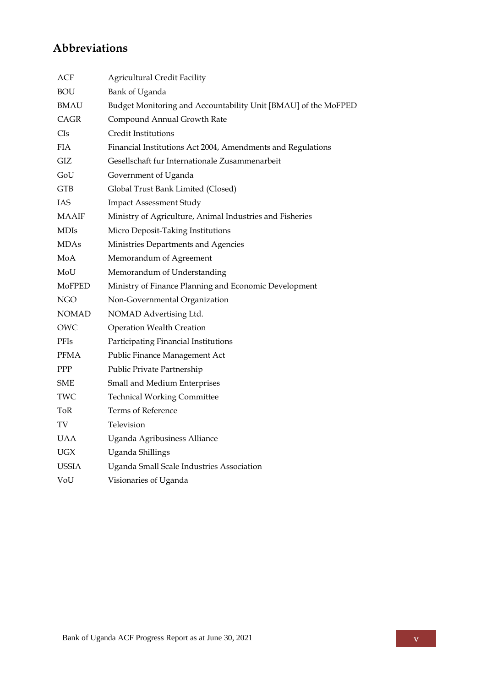# <span id="page-4-0"></span>**Abbreviations**

| ACF         | <b>Agricultural Credit Facility</b>                            |
|-------------|----------------------------------------------------------------|
| BOU         | Bank of Uganda                                                 |
| BMAU        | Budget Monitoring and Accountability Unit [BMAU] of the MoFPED |
| CAGR        | Compound Annual Growth Rate                                    |
| CIs         | Credit Institutions                                            |
| FIA         | Financial Institutions Act 2004, Amendments and Regulations    |
| GIZ         | Gesellschaft fur Internationale Zusammenarbeit                 |
| GoU         | Government of Uganda                                           |
| <b>GTB</b>  | Global Trust Bank Limited (Closed)                             |
| IAS         | <b>Impact Assessment Study</b>                                 |
| MAAIF       | Ministry of Agriculture, Animal Industries and Fisheries       |
| <b>MDIs</b> | Micro Deposit-Taking Institutions                              |
| MDAs        | Ministries Departments and Agencies                            |
| MoA         | Memorandum of Agreement                                        |
| MoU         | Memorandum of Understanding                                    |
| MoFPED      | Ministry of Finance Planning and Economic Development          |
| NGO         | Non-Governmental Organization                                  |
| NOMAD       | NOMAD Advertising Ltd.                                         |
| OWC         | <b>Operation Wealth Creation</b>                               |
| PFIs        | Participating Financial Institutions                           |
| PFMA        | Public Finance Management Act                                  |
| PPP         | Public Private Partnership                                     |
| SME         | Small and Medium Enterprises                                   |
| TWC         | <b>Technical Working Committee</b>                             |
| ToR         | Terms of Reference                                             |
| TV          | Television                                                     |
| UAA         | Uganda Agribusiness Alliance                                   |
| UGX         | Uganda Shillings                                               |
| USSIA       | Uganda Small Scale Industries Association                      |
| VoU         | Visionaries of Uganda                                          |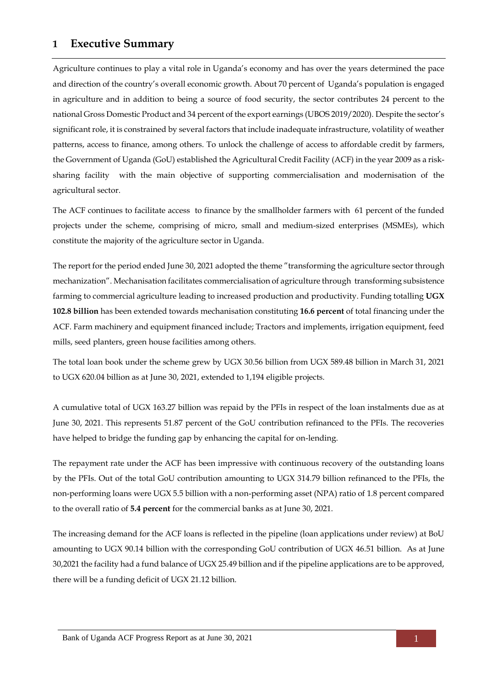## <span id="page-5-0"></span>**1 Executive Summary**

Agriculture continues to play a vital role in Uganda's economy and has over the years determined the pace and direction of the country's overall economic growth. About 70 percent of Uganda's population is engaged in agriculture and in addition to being a source of food security, the sector contributes 24 percent to the national Gross Domestic Product and 34 percent of the export earnings (UBOS 2019/2020). Despite the sector's significant role, it is constrained by several factors that include inadequate infrastructure, volatility of weather patterns, access to finance, among others. To unlock the challenge of access to affordable credit by farmers, the Government of Uganda (GoU) established the Agricultural Credit Facility (ACF) in the year 2009 as a risksharing facility with the main objective of supporting commercialisation and modernisation of the agricultural sector.

The ACF continues to facilitate access to finance by the smallholder farmers with 61 percent of the funded projects under the scheme, comprising of micro, small and medium-sized enterprises (MSMEs), which constitute the majority of the agriculture sector in Uganda.

The report for the period ended June 30, 2021 adopted the theme "transforming the agriculture sector through mechanization". Mechanisation facilitates commercialisation of agriculture through transforming subsistence farming to commercial agriculture leading to increased production and productivity. Funding totalling **UGX 102.8 billion** has been extended towards mechanisation constituting **16.6 percent** of total financing under the ACF. Farm machinery and equipment financed include; Tractors and implements, irrigation equipment, feed mills, seed planters, green house facilities among others.

The total loan book under the scheme grew by UGX 30.56 billion from UGX 589.48 billion in March 31, 2021 to UGX 620.04 billion as at June 30, 2021, extended to 1,194 eligible projects.

A cumulative total of UGX 163.27 billion was repaid by the PFIs in respect of the loan instalments due as at June 30, 2021. This represents 51.87 percent of the GoU contribution refinanced to the PFIs. The recoveries have helped to bridge the funding gap by enhancing the capital for on-lending.

The repayment rate under the ACF has been impressive with continuous recovery of the outstanding loans by the PFIs. Out of the total GoU contribution amounting to UGX 314.79 billion refinanced to the PFIs, the non-performing loans were UGX 5.5 billion with a non-performing asset (NPA) ratio of 1.8 percent compared to the overall ratio of **5.4 percent** for the commercial banks as at June 30, 2021.

The increasing demand for the ACF loans is reflected in the pipeline (loan applications under review) at BoU amounting to UGX 90.14 billion with the corresponding GoU contribution of UGX 46.51 billion. As at June 30,2021 the facility had a fund balance of UGX 25.49 billion and if the pipeline applications are to be approved, there will be a funding deficit of UGX 21.12 billion.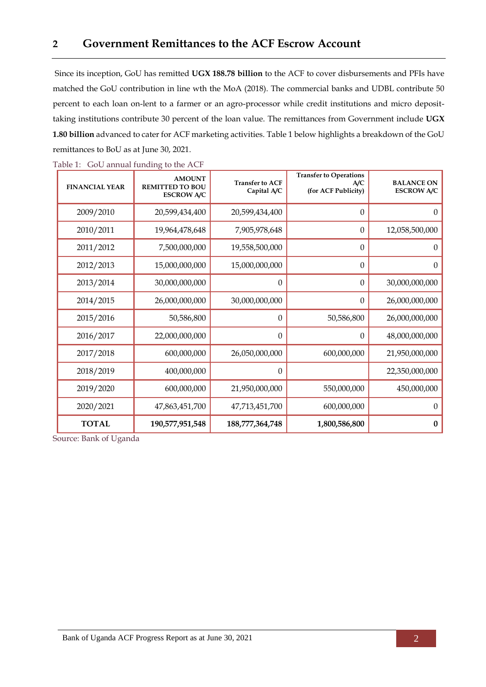<span id="page-6-0"></span>Since its inception, GoU has remitted **UGX 188.78 billion** to the ACF to cover disbursements and PFIs have matched the GoU contribution in line wth the MoA (2018). The commercial banks and UDBL contribute 50 percent to each loan on-lent to a farmer or an agro-processor while credit institutions and micro deposittaking institutions contribute 30 percent of the loan value. The remittances from Government include **UGX 1.80 billion** advanced to cater for ACF marketing activities. [Table 1](#page-6-1) below highlights a breakdown of the GoU remittances to BoU as at June 30, 2021.

| <b>FINANCIAL YEAR</b> | <b>AMOUNT</b><br><b>REMITTED TO BOU</b><br><b>ESCROW A/C</b> | <b>Transfer to ACF</b><br>Capital A/C | <b>Transfer to Operations</b><br>A/C<br>(for ACF Publicity) | <b>BALANCE ON</b><br><b>ESCROW A/C</b> |
|-----------------------|--------------------------------------------------------------|---------------------------------------|-------------------------------------------------------------|----------------------------------------|
| 2009/2010             | 20,599,434,400                                               | 20,599,434,400                        | $\theta$                                                    | $\overline{0}$                         |
| 2010/2011             | 19,964,478,648                                               | 7,905,978,648                         | $\theta$                                                    | 12,058,500,000                         |
| 2011/2012             | 7,500,000,000                                                | 19,558,500,000                        | $\boldsymbol{0}$                                            | $\theta$                               |
| 2012/2013             | 15,000,000,000                                               | 15,000,000,000                        | $\Omega$                                                    | $\mathbf{0}$                           |
| 2013/2014             | 30,000,000,000                                               | $\theta$                              | $\mathbf{0}$                                                | 30,000,000,000                         |
| 2014/2015             | 26,000,000,000                                               | 30,000,000,000                        | $\boldsymbol{0}$                                            | 26,000,000,000                         |
| 2015/2016             | 50,586,800                                                   | $\boldsymbol{0}$                      | 50,586,800                                                  | 26,000,000,000                         |
| 2016/2017             | 22,000,000,000                                               | $\boldsymbol{0}$                      | $\theta$                                                    | 48,000,000,000                         |
| 2017/2018             | 600,000,000                                                  | 26,050,000,000                        | 600,000,000                                                 | 21,950,000,000                         |
| 2018/2019             | 400,000,000                                                  | $\theta$                              |                                                             | 22,350,000,000                         |
| 2019/2020             | 600,000,000                                                  | 21,950,000,000                        | 550,000,000                                                 | 450,000,000                            |
| 2020/2021             | 47,863,451,700                                               | 47,713,451,700                        | 600,000,000                                                 | $\boldsymbol{0}$                       |
| <b>TOTAL</b>          | 190,577,951,548                                              | 188,777,364,748                       | 1,800,586,800                                               | $\bf{0}$                               |

<span id="page-6-1"></span>Table 1: GoU annual funding to the ACF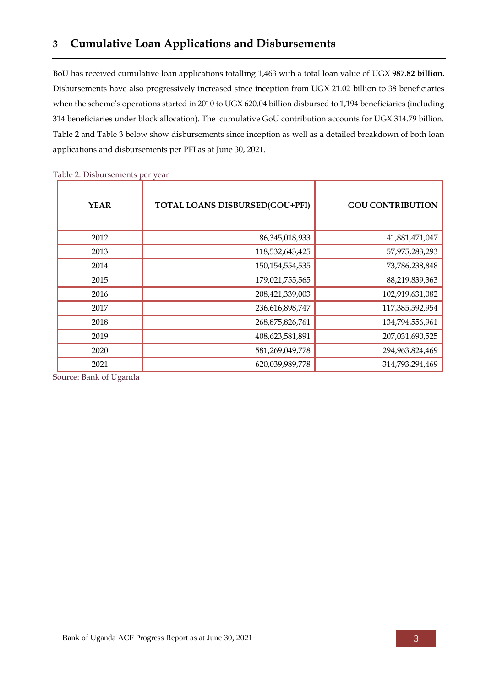<span id="page-7-0"></span>BoU has received cumulative loan applications totalling 1,463 with a total loan value of UGX **987.82 billion.** Disbursements have also progressively increased since inception from UGX 21.02 billion to 38 beneficiaries when the scheme's operations started in 2010 to UGX 620.04 billion disbursed to 1,194 beneficiaries (including 314 beneficiaries under block allocation). The cumulative GoU contribution accounts for UGX 314.79 billion. [Table 2](#page-7-1) and [Table 3](#page-8-0) below show disbursements since inception as well as a detailed breakdown of both loan applications and disbursements per PFI as at June 30, 2021.

| <b>YEAR</b> | <b>TOTAL LOANS DISBURSED(GOU+PFI)</b> | <b>GOU CONTRIBUTION</b> |
|-------------|---------------------------------------|-------------------------|
| 2012        | 86, 345, 018, 933                     | 41,881,471,047          |
| 2013        | 118,532,643,425                       | 57,975,283,293          |
| 2014        | 150, 154, 554, 535                    | 73,786,238,848          |
| 2015        | 179,021,755,565                       | 88,219,839,363          |
| 2016        | 208,421,339,003                       | 102,919,631,082         |
| 2017        | 236,616,898,747                       | 117,385,592,954         |
| 2018        | 268,875,826,761                       | 134,794,556,961         |
| 2019        | 408,623,581,891                       | 207,031,690,525         |
| 2020        | 581,269,049,778                       | 294,963,824,469         |
| 2021        | 620,039,989,778                       | 314,793,294,469         |

<span id="page-7-1"></span>Table 2: Disbursements per year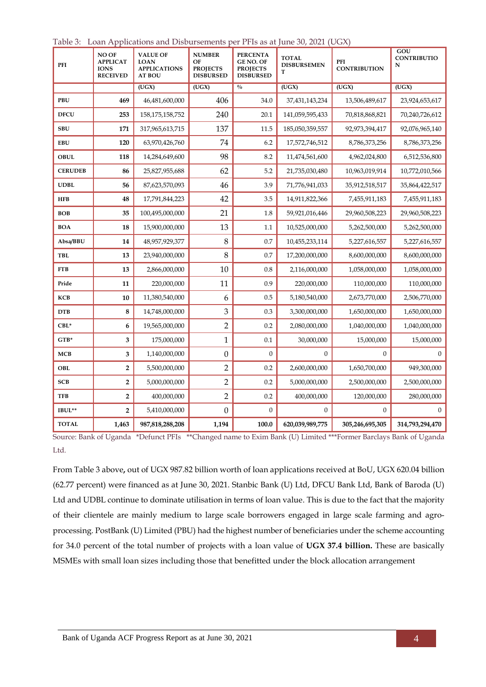| PFI            | NO OF<br><b>APPLICAT</b><br><b>IONS</b><br><b>RECEIVED</b> | Down Tip phentions and <i>Displacements</i><br><b>VALUE OF</b><br><b>LOAN</b><br><b>APPLICATIONS</b><br><b>AT BOU</b> | <b>NUMBER</b><br>OF<br><b>PROJECTS</b><br><b>DISBURSED</b> | <b>PERCENTA</b><br><b>GE NO. OF</b><br><b>PROJECTS</b><br><b>DISBURSED</b> | <b>TOTAL</b><br><b>DISBURSEMEN</b><br>т | PFI<br><b>CONTRIBUTION</b> | GOU<br><b>CONTRIBUTIO</b><br>N |
|----------------|------------------------------------------------------------|-----------------------------------------------------------------------------------------------------------------------|------------------------------------------------------------|----------------------------------------------------------------------------|-----------------------------------------|----------------------------|--------------------------------|
|                |                                                            | (UGX)                                                                                                                 | (UGX)                                                      | $\frac{0}{0}$                                                              | $\overline{(UGX)}$                      | (UGX)                      | (UGX)                          |
| PBU            | 469                                                        | 46,481,600,000                                                                                                        | 406                                                        | 34.0                                                                       | 37,431,143,234                          | 13,506,489,617             | 23,924,653,617                 |
| <b>DFCU</b>    | 253                                                        | 158, 175, 158, 752                                                                                                    | 240                                                        | 20.1                                                                       | 141,059,595,433                         | 70,818,868,821             | 70,240,726,612                 |
| <b>SBU</b>     | 171                                                        | 317,965,613,715                                                                                                       | 137                                                        | 11.5                                                                       | 185,050,359,557                         | 92,973,394,417             | 92,076,965,140                 |
| <b>EBU</b>     | 120                                                        | 63,970,426,760                                                                                                        | 74                                                         | 6.2                                                                        | 17,572,746,512                          | 8,786,373,256              | 8,786,373,256                  |
| <b>OBUL</b>    | 118                                                        | 14,284,649,600                                                                                                        | 98                                                         | 8.2                                                                        | 11,474,561,600                          | 4,962,024,800              | 6,512,536,800                  |
| <b>CERUDEB</b> | 86                                                         | 25,827,955,688                                                                                                        | 62                                                         | 5.2                                                                        | 21,735,030,480                          | 10,963,019,914             | 10,772,010,566                 |
| <b>UDBL</b>    | 56                                                         | 87,623,570,093                                                                                                        | 46                                                         | 3.9                                                                        | 71,776,941,033                          | 35,912,518,517             | 35,864,422,517                 |
| <b>HFB</b>     | 48                                                         | 17,791,844,223                                                                                                        | 42                                                         | 3.5                                                                        | 14,911,822,366                          | 7,455,911,183              | 7,455,911,183                  |
| <b>BOB</b>     | 35                                                         | 100,495,000,000                                                                                                       | 21                                                         | 1.8                                                                        | 59,921,016,446                          | 29,960,508,223             | 29,960,508,223                 |
| <b>BOA</b>     | 18                                                         | 15,900,000,000                                                                                                        | 13                                                         | 1.1                                                                        | 10,525,000,000                          | 5,262,500,000              | 5,262,500,000                  |
| Absa/BBU       | 14                                                         | 48,957,929,377                                                                                                        | 8                                                          | 0.7                                                                        | 10,455,233,114                          | 5,227,616,557              | 5,227,616,557                  |
| TBL            | 13                                                         | 23,940,000,000                                                                                                        | $\,8\,$                                                    | 0.7                                                                        | 17,200,000,000                          | 8,600,000,000              | 8,600,000,000                  |
| FTB            | 13                                                         | 2,866,000,000                                                                                                         | 10                                                         | 0.8                                                                        | 2,116,000,000                           | 1,058,000,000              | 1,058,000,000                  |
| Pride          | 11                                                         | 220,000,000                                                                                                           | 11                                                         | 0.9                                                                        | 220,000,000                             | 110,000,000                | 110,000,000                    |
| <b>KCB</b>     | 10                                                         | 11,380,540,000                                                                                                        | 6                                                          | 0.5                                                                        | 5,180,540,000                           | 2,673,770,000              | 2,506,770,000                  |
| <b>DTB</b>     | 8                                                          | 14,748,000,000                                                                                                        | 3                                                          | 0.3                                                                        | 3,300,000,000                           | 1,650,000,000              | 1,650,000,000                  |
| $CBL^*$        | 6                                                          | 19,565,000,000                                                                                                        | $\overline{2}$                                             | 0.2                                                                        | 2,080,000,000                           | 1,040,000,000              | 1,040,000,000                  |
| $GTB^*$        | 3                                                          | 175,000,000                                                                                                           | 1                                                          | 0.1                                                                        | 30,000,000                              | 15,000,000                 | 15,000,000                     |
| <b>MCB</b>     | 3                                                          | 1,140,000,000                                                                                                         | $\boldsymbol{0}$                                           | $\boldsymbol{0}$                                                           | $\boldsymbol{0}$                        | $\boldsymbol{0}$           | $\overline{0}$                 |
| OBL            | $\overline{2}$                                             | 5,500,000,000                                                                                                         | $\overline{2}$                                             | 0.2                                                                        | 2,600,000,000                           | 1,650,700,000              | 949,300,000                    |
| SCB            | $\overline{\mathbf{2}}$                                    | 5,000,000,000                                                                                                         | $\overline{2}$                                             | 0.2                                                                        | 5,000,000,000                           | 2,500,000,000              | 2,500,000,000                  |
| <b>TFB</b>     | 2                                                          | 400,000,000                                                                                                           | $\overline{2}$                                             | 0.2                                                                        | 400,000,000                             | 120,000,000                | 280,000,000                    |
| IBUL**         | 2                                                          | 5,410,000,000                                                                                                         | $\boldsymbol{0}$                                           | $\boldsymbol{0}$                                                           | $\boldsymbol{0}$                        | 0                          | $\overline{0}$                 |
| <b>TOTAL</b>   | 1,463                                                      | 987, 818, 288, 208                                                                                                    | 1,194                                                      | 100.0                                                                      | 620,039,989,775                         | 305,246,695,305            | 314,793,294,470                |

<span id="page-8-0"></span>Table 3: Loan Applications and Disbursements per PFIs as at June 30, 2021 (UGX)

Source: Bank of Uganda \*Defunct PFIs \*\*Changed name to Exim Bank (U) Limited \*\*\*Former Barclays Bank of Uganda Ltd.

From [Table 3](#page-8-0) above**,** out of UGX 987.82 billion worth of loan applications received at BoU, UGX 620.04 billion (62.77 percent) were financed as at June 30, 2021. Stanbic Bank (U) Ltd, DFCU Bank Ltd, Bank of Baroda (U) Ltd and UDBL continue to dominate utilisation in terms of loan value. This is due to the fact that the majority of their clientele are mainly medium to large scale borrowers engaged in large scale farming and agroprocessing. PostBank (U) Limited (PBU) had the highest number of beneficiaries under the scheme accounting for 34.0 percent of the total number of projects with a loan value of **UGX 37.4 billion.** These are basically MSMEs with small loan sizes including those that benefitted under the block allocation arrangement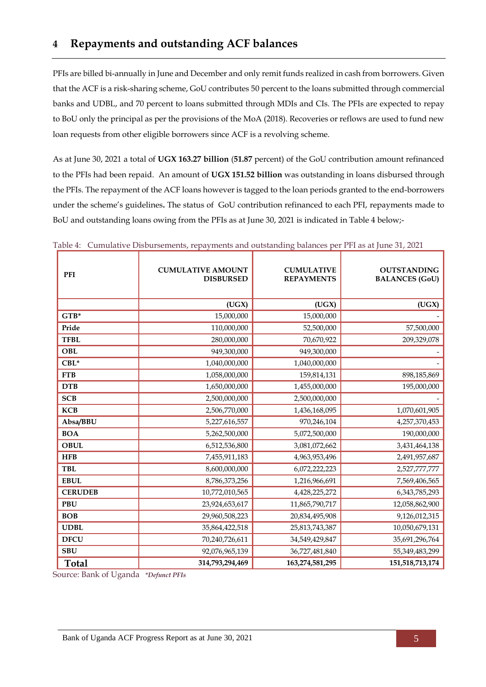<span id="page-9-0"></span>PFIs are billed bi-annually in June and December and only remit funds realized in cash from borrowers. Given that the ACF is a risk-sharing scheme, GoU contributes 50 percent to the loans submitted through commercial banks and UDBL, and 70 percent to loans submitted through MDIs and CIs. The PFIs are expected to repay to BoU only the principal as per the provisions of the MoA (2018). Recoveries or reflows are used to fund new loan requests from other eligible borrowers since ACF is a revolving scheme.

As at June 30, 2021 a total of **UGX 163.27 billion** (**51.87** percent) of the GoU contribution amount refinanced to the PFIs had been repaid. An amount of **UGX 151.52 billion** was outstanding in loans disbursed through the PFIs. The repayment of the ACF loans however is tagged to the loan periods granted to the end-borrowers under the scheme's guidelines**.** The status of GoU contribution refinanced to each PFI, repayments made to BoU and outstanding loans owing from the PFIs as at June 30, 2021 is indicated in [Table 4](#page-9-1) below;-

| <b>PFI</b>     | <b>CUMULATIVE AMOUNT</b><br><b>DISBURSED</b> | <b>CUMULATIVE</b><br><b>REPAYMENTS</b> | <b>OUTSTANDING</b><br><b>BALANCES (GoU)</b> |
|----------------|----------------------------------------------|----------------------------------------|---------------------------------------------|
|                | (UGX)                                        | (UGX)                                  | (UGX)                                       |
| $GTB^*$        | 15,000,000                                   | 15,000,000                             |                                             |
| Pride          | 110,000,000                                  | 52,500,000                             | 57,500,000                                  |
| <b>TFBL</b>    | 280,000,000                                  | 70,670,922                             | 209,329,078                                 |
| <b>OBL</b>     | 949,300,000                                  | 949,300,000                            |                                             |
| $CBL*$         | 1,040,000,000                                | 1,040,000,000                          |                                             |
| <b>FTB</b>     | 1,058,000,000                                | 159,814,131                            | 898,185,869                                 |
| <b>DTB</b>     | 1,650,000,000                                | 1,455,000,000                          | 195,000,000                                 |
| <b>SCB</b>     | 2,500,000,000                                | 2,500,000,000                          |                                             |
| <b>KCB</b>     | 2,506,770,000                                | 1,436,168,095                          | 1,070,601,905                               |
| Absa/BBU       | 5,227,616,557                                | 970,246,104                            | 4,257,370,453                               |
| <b>BOA</b>     | 5,262,500,000                                | 5,072,500,000                          | 190,000,000                                 |
| <b>OBUL</b>    | 6,512,536,800                                | 3,081,072,662                          | 3,431,464,138                               |
| <b>HFB</b>     | 7,455,911,183                                | 4,963,953,496                          | 2,491,957,687                               |
| <b>TBL</b>     | 8,600,000,000                                | 6,072,222,223                          | 2,527,777,777                               |
| <b>EBUL</b>    | 8,786,373,256                                | 1,216,966,691                          | 7,569,406,565                               |
| <b>CERUDEB</b> | 10,772,010,565                               | 4,428,225,272                          | 6,343,785,293                               |
| <b>PBU</b>     | 23,924,653,617                               | 11,865,790,717                         | 12,058,862,900                              |
| <b>BOB</b>     | 29,960,508,223                               | 20,834,495,908                         | 9,126,012,315                               |
| <b>UDBL</b>    | 35,864,422,518                               | 25,813,743,387                         | 10,050,679,131                              |
| <b>DFCU</b>    | 70,240,726,611                               | 34,549,429,847                         | 35,691,296,764                              |
| <b>SBU</b>     | 92,076,965,139                               | 36,727,481,840                         | 55,349,483,299                              |
| <b>Total</b>   | 314,793,294,469                              | 163,274,581,295                        | 151,518,713,174                             |

<span id="page-9-1"></span>

|  | Table 4: Cumulative Disbursements, repayments and outstanding balances per PFI as at June 31, 2021 |  |  |  |  |
|--|----------------------------------------------------------------------------------------------------|--|--|--|--|
|--|----------------------------------------------------------------------------------------------------|--|--|--|--|

Source: Bank of Uganda *\*Defunct PFIs*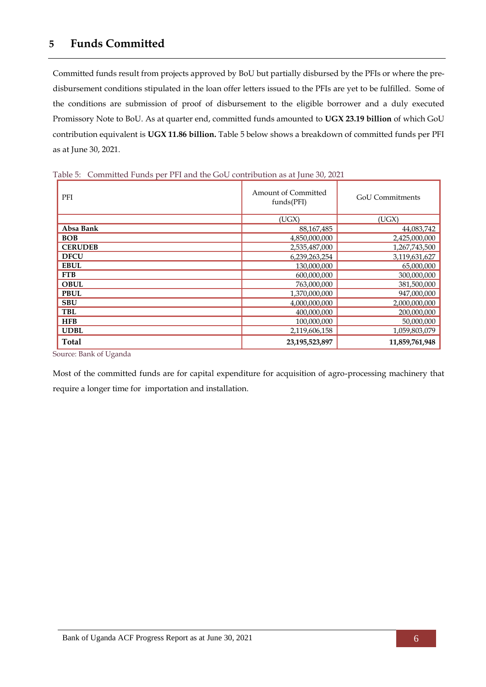### <span id="page-10-0"></span>**5 Funds Committed**

Committed funds result from projects approved by BoU but partially disbursed by the PFIs or where the predisbursement conditions stipulated in the loan offer letters issued to the PFIs are yet to be fulfilled. Some of the conditions are submission of proof of disbursement to the eligible borrower and a duly executed Promissory Note to BoU. As at quarter end, committed funds amounted to **UGX 23.19 billion** of which GoU contribution equivalent is **UGX 11.86 billion.** [Table 5](#page-10-1) below shows a breakdown of committed funds per PFI as at June 30, 2021.

| PFI            | <b>Amount of Committed</b><br>funds(PFI) | <b>GoU</b> Commitments |  |
|----------------|------------------------------------------|------------------------|--|
|                | (UGX)                                    | (UGX)                  |  |
| Absa Bank      | 88, 167, 485                             | 44,083,742             |  |
| <b>BOB</b>     | 4,850,000,000                            | 2,425,000,000          |  |
| <b>CERUDEB</b> | 2,535,487,000                            | 1,267,743,500          |  |
| <b>DFCU</b>    | 6,239,263,254                            | 3,119,631,627          |  |
| <b>EBUL</b>    | 130,000,000                              | 65,000,000             |  |
| <b>FTB</b>     | 600,000,000                              | 300,000,000            |  |
| <b>OBUL</b>    | 763,000,000                              | 381,500,000            |  |
| <b>PBUL</b>    | 1,370,000,000                            | 947,000,000            |  |
| <b>SBU</b>     | 4,000,000,000                            | 2,000,000,000          |  |
| <b>TBL</b>     | 400,000,000                              | 200,000,000            |  |
| <b>HFB</b>     | 100,000,000                              | 50,000,000             |  |
| <b>UDBL</b>    | 2,119,606,158                            | 1,059,803,079          |  |
| <b>Total</b>   | 23,195,523,897                           | 11,859,761,948         |  |

<span id="page-10-1"></span>Table 5: Committed Funds per PFI and the GoU contribution as at June 30, 2021

Source: Bank of Uganda

Most of the committed funds are for capital expenditure for acquisition of agro-processing machinery that require a longer time for importation and installation.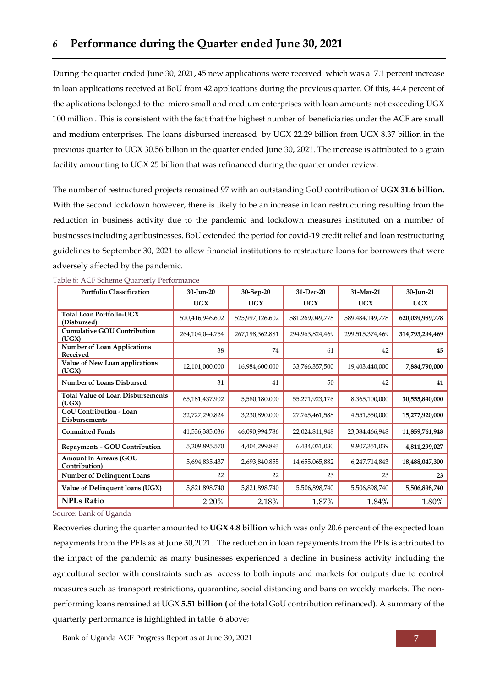<span id="page-11-0"></span>During the quarter ended June 30, 2021, 45 new applications were received which was a 7.1 percent increase in loan applications received at BoU from 42 applications during the previous quarter. Of this, 44.4 percent of the aplications belonged to the micro small and medium enterprises with loan amounts not exceeding UGX 100 million . This is consistent with the fact that the highest number of beneficiaries under the ACF are small and medium enterprises. The loans disbursed increased by UGX 22.29 billion from UGX 8.37 billion in the previous quarter to UGX 30.56 billion in the quarter ended June 30, 2021. The increase is attributed to a grain facility amounting to UGX 25 billion that was refinanced during the quarter under review.

The number of restructured projects remained 97 with an outstanding GoU contribution of **UGX 31.6 billion.** With the second lockdown however, there is likely to be an increase in loan restructuring resulting from the reduction in business activity due to the pandemic and lockdown measures instituted on a number of businesses including agribusinesses. BoU extended the period for covid-19 credit relief and loan restructuring guidelines to September 30, 2021 to allow financial institutions to restructure loans for borrowers that were adversely affected by the pandemic.

| <b>Portfolio Classification</b>                        | 30-Jun-20       | 30-Sep-20       | 31-Dec-20       | 31-Mar-21       | 30-Jun-21       |
|--------------------------------------------------------|-----------------|-----------------|-----------------|-----------------|-----------------|
|                                                        | <b>UGX</b>      | UGX             | UGX             | <b>UGX</b>      | <b>UGX</b>      |
| <b>Total Loan Portfolio-UGX</b><br>(Disbursed)         | 520,416,946,602 | 525,997,126,602 | 581,269,049,778 | 589,484,149,778 | 620,039,989,778 |
| <b>Cumulative GOU Contribution</b><br>(UGX)            | 264,104,044,754 | 267,198,362,881 | 294,963,824,469 | 299,515,374,469 | 314,793,294,469 |
| <b>Number of Loan Applications</b><br>Received         | 38              | 74              | 61              | 42              | 45              |
| Value of New Loan applications<br>(UGX)                | 12,101,000,000  | 16,984,600,000  | 33,766,357,500  | 19,403,440,000  | 7,884,790,000   |
| <b>Number of Loans Disbursed</b>                       | 31              | 41              | 50              | 42              | 41              |
| <b>Total Value of Loan Disbursements</b><br>(UGX)      | 65,181,437,902  | 5,580,180,000   | 55,271,923,176  | 8,365,100,000   | 30,555,840,000  |
| <b>GoU Contribution - Loan</b><br><b>Disbursements</b> | 32,727,290,824  | 3,230,890,000   | 27,765,461,588  | 4,551,550,000   | 15,277,920,000  |
| <b>Committed Funds</b>                                 | 41,536,385,036  | 46,090,994,786  | 22,024,811,948  | 23,384,466,948  | 11,859,761,948  |
| <b>Repayments - GOU Contribution</b>                   | 5,209,895,570   | 4,404,299,893   | 6,434,031,030   | 9,907,351,039   | 4,811,299,027   |
| Amount in Arrears (GOU<br>Contribution)                | 5,694,835,437   | 2,693,840,855   | 14,655,065,882  | 6,247,714,843   | 18,488,047,300  |
| <b>Number of Delinquent Loans</b>                      | 22              | 22              | 23              | 23              | 23              |
| Value of Delinquent loans (UGX)                        | 5,821,898,740   | 5,821,898,740   | 5,506,898,740   | 5,506,898,740   | 5,506,898,740   |
| <b>NPLs Ratio</b>                                      | 2.20%           | 2.18%           | 1.87%           | 1.84%           | 1.80%           |

<span id="page-11-1"></span>Table 6: ACF Scheme Quarterly Performance

Source: Bank of Uganda

Recoveries during the quarter amounted to **UGX 4.8 billion** which was only 20.6 percent of the expected loan repayments from the PFIs as at June 30,2021. The reduction in loan repayments from the PFIs is attributed to the impact of the pandemic as many businesses experienced a decline in business activity including the agricultural sector with constraints such as access to both inputs and markets for outputs due to control measures such as transport restrictions, quarantine, social distancing and bans on weekly markets. The nonperforming loans remained at UGX **5.51 billion (** of the total GoU contribution refinanced**)**. A summary of the quarterly performance is highlighted in table 6 above;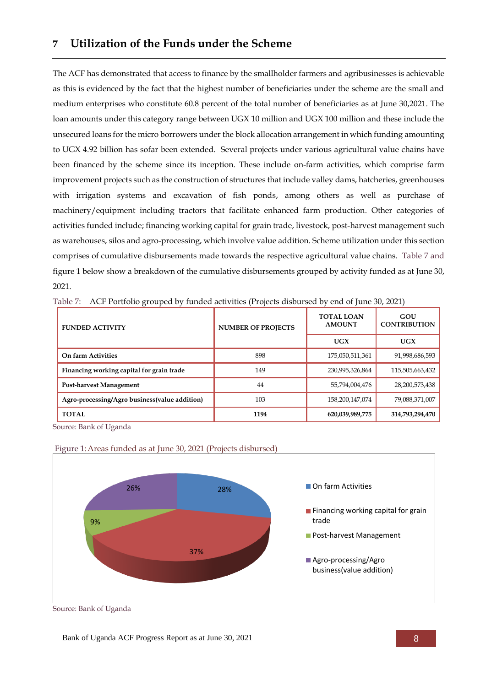<span id="page-12-0"></span>The ACF has demonstrated that access to finance by the smallholder farmers and agribusinesses is achievable as this is evidenced by the fact that the highest number of beneficiaries under the scheme are the small and medium enterprises who constitute 60.8 percent of the total number of beneficiaries as at June 30,2021. The loan amounts under this category range between UGX 10 million and UGX 100 million and these include the unsecured loans for the micro borrowers under the block allocation arrangement in which funding amounting to UGX 4.92 billion has sofar been extended. Several projects under various agricultural value chains have been financed by the scheme since its inception. These include on-farm activities, which comprise farm improvement projects such as the construction of structures that include valley dams, hatcheries, greenhouses with irrigation systems and excavation of fish ponds, among others as well as purchase of machinery/equipment including tractors that facilitate enhanced farm production. Other categories of activities funded include; financing working capital for grain trade, livestock, post-harvest management such as warehouses, silos and agro-processing, which involve value addition. Scheme utilization under this section comprises of cumulative disbursements made towards the respective agricultural value chains. Table 7 and figure 1 below show a breakdown of the cumulative disbursements grouped by activity funded as at June 30, 2021.

| <b>FUNDED ACTIVITY</b>                        | <b>NUMBER OF PROJECTS</b> | <b>TOTAL LOAN</b><br><b>AMOUNT</b> | GOU<br><b>CONTRIBUTION</b> |
|-----------------------------------------------|---------------------------|------------------------------------|----------------------------|
|                                               |                           | UGX                                | UGX                        |
| On farm Activities                            | 898                       | 175,050,511,361                    | 91,998,686,593             |
| Financing working capital for grain trade     | 149                       | 230,995,326,864                    | 115,505,663,432            |
| Post-harvest Management                       | 44                        | 55,794,004,476                     | 28,200,573,438             |
| Agro-processing/Agro business(value addition) | 103                       | 158,200,147,074                    | 79,088,371,007             |
| <b>TOTAL</b>                                  | 1194                      | 620,039,989,775                    | 314,793,294,470            |

<span id="page-12-2"></span>Table 7: ACF Portfolio grouped by funded activities (Projects disbursed by end of June 30, 2021)

Source: Bank of Uganda



<span id="page-12-1"></span>Figure 1:Areas funded as at June 30, 2021 (Projects disbursed)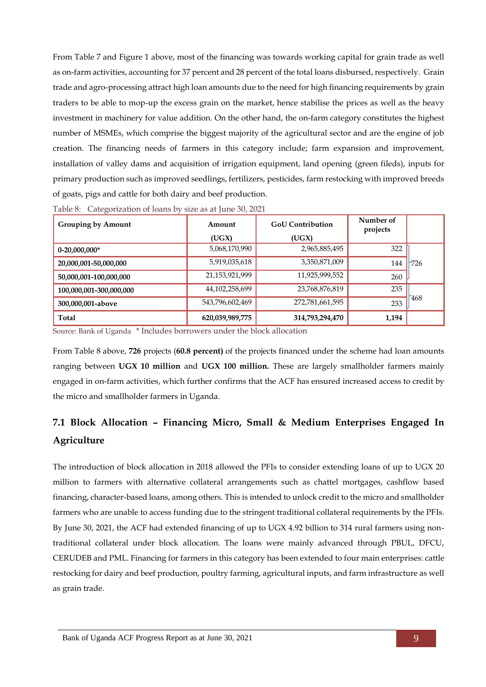From [Table 7](#page-12-2) and [Figure 1](#page-12-1) above, most of the financing was towards working capital for grain trade as well as on-farm activities, accounting for 37 percent and 28 percent of the total loans disbursed, respectively. Grain trade and agro-processing attract high loan amounts due to the need for high financing requirements by grain traders to be able to mop-up the excess grain on the market, hence stabilise the prices as well as the heavy investment in machinery for value addition. On the other hand, the on-farm category constitutes the highest number of MSMEs, which comprise the biggest majority of the agricultural sector and are the engine of job creation. The financing needs of farmers in this category include; farm expansion and improvement, installation of valley dams and acquisition of irrigation equipment, land opening (green fileds), inputs for primary production such as improved seedlings, fertilizers, pesticides, farm restocking with improved breeds of goats, pigs and cattle for both dairy and beef production.

| <b>Grouping by Amount</b> | <b>GoU</b> Contribution<br>Amount |                 | Number of<br>projects |      |
|---------------------------|-----------------------------------|-----------------|-----------------------|------|
|                           | (UGX)                             | (UGX)           |                       |      |
| $0-20,000,000*$           | 5,068,170,990                     | 2,965,885,495   | 322                   |      |
| 20,000,001-50,000,000     | 5,919,035,618                     | 3,350,871,009   | 144                   | 726  |
| 50,000,001-100,000,000    | 21,153,921,999                    | 11,925,999,552  | 260                   |      |
| 100,000,001-300,000,000   | 44,102,258,699                    | 23,768,876,819  | 235                   |      |
| 300,000,001-above         | 543,796,602,469                   | 272,781,661,595 | 233                   | -468 |
| Total                     | 620,039,989,775                   | 314,793,294,470 | 1,194                 |      |

<span id="page-13-0"></span>Table 8: Categorization of loans by size as at June 30, 2021

Source: Bank of Uganda \* Includes borrowers under the block allocation

From [Table 8](#page-13-0) above, **726** projects (**60.8 percent)** of the projects financed under the scheme had loan amounts ranging between **UGX 10 million** and **UGX 100 million.** These are largely smallholder farmers mainly engaged in on-farm activities, which further confirms that the ACF has ensured increased access to credit by the micro and smallholder farmers in Uganda.

## **7.1 Block Allocation – Financing Micro, Small & Medium Enterprises Engaged In Agriculture**

The introduction of block allocation in 2018 allowed the PFIs to consider extending loans of up to UGX 20 million to farmers with alternative collateral arrangements such as chattel mortgages, cashflow based financing, character-based loans, among others. This is intended to unlock credit to the micro and smallholder farmers who are unable to access funding due to the stringent traditional collateral requirements by the PFIs. By June 30, 2021, the ACF had extended financing of up to UGX 4.92 billion to 314 rural farmers using nontraditional collateral under block allocation. The loans were mainly advanced through PBUL, DFCU, CERUDEB and PML. Financing for farmers in this category has been extended to four main enterprises: cattle restocking for dairy and beef production, poultry farming, agricultural inputs, and farm infrastructure as well as grain trade.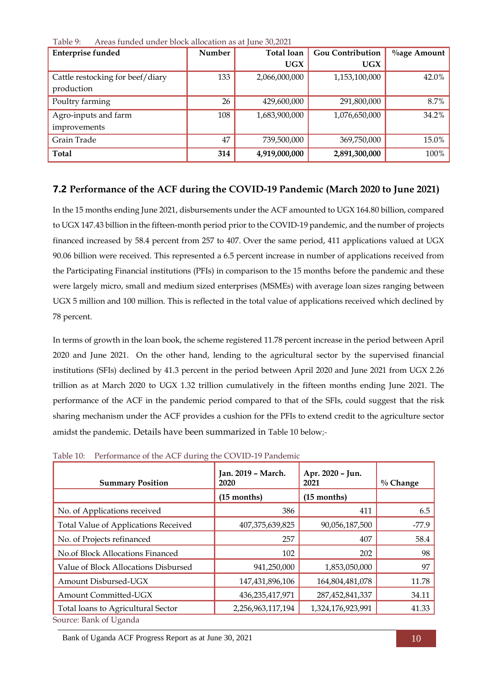| <b>Enterprise funded</b>         | Number | Total loan    | <b>Gou Contribution</b> | <b>%age Amount</b> |
|----------------------------------|--------|---------------|-------------------------|--------------------|
|                                  |        | <b>UGX</b>    | <b>UGX</b>              |                    |
| Cattle restocking for beef/diary | 133    | 2,066,000,000 | 1,153,100,000           | 42.0%              |
| production                       |        |               |                         |                    |
| Poultry farming                  | 26     | 429,600,000   | 291,800,000             | 8.7%               |
| Agro-inputs and farm             | 108    | 1,683,900,000 | 1,076,650,000           | 34.2%              |
| improvements                     |        |               |                         |                    |
| Grain Trade                      | 47     | 739,500,000   | 369,750,000             | 15.0%              |
| <b>Total</b>                     | 314    | 4,919,000,000 | 2,891,300,000           | 100%               |

<span id="page-14-0"></span>Table 9: Areas funded under block allocation as at June 30,2021

### **7.2 Performance of the ACF during the COVID-19 Pandemic (March 2020 to June 2021)**

In the 15 months ending June 2021, disbursements under the ACF amounted to UGX 164.80 billion, compared to UGX 147.43 billion in the fifteen-month period prior to the COVID-19 pandemic, and the number of projects financed increased by 58.4 percent from 257 to 407. Over the same period, 411 applications valued at UGX 90.06 billion were received. This represented a 6.5 percent increase in number of applications received from the Participating Financial institutions (PFIs) in comparison to the 15 months before the pandemic and these were largely micro, small and medium sized enterprises (MSMEs) with average loan sizes ranging between UGX 5 million and 100 million. This is reflected in the total value of applications received which declined by 78 percent.

In terms of growth in the loan book, the scheme registered 11.78 percent increase in the period between April 2020 and June 2021. On the other hand, lending to the agricultural sector by the supervised financial institutions (SFIs) declined by 41.3 percent in the period between April 2020 and June 2021 from UGX 2.26 trillion as at March 2020 to UGX 1.32 trillion cumulatively in the fifteen months ending June 2021. The performance of the ACF in the pandemic period compared to that of the SFIs, could suggest that the risk sharing mechanism under the ACF provides a cushion for the PFIs to extend credit to the agriculture sector amidst the pandemic. Details have been summarized in [Table 10](#page-14-1) below;-

| <b>Summary Position</b>              | Jan. 2019 - March.<br>2020 | Apr. 2020 - Jun.<br>2021 | $\%$ Change |
|--------------------------------------|----------------------------|--------------------------|-------------|
|                                      | $(15$ months)              | $(15$ months)            |             |
| No. of Applications received         | 386                        | 411                      | 6.5         |
| Total Value of Applications Received | 407,375,639,825            | 90,056,187,500           | $-77.9$     |
| No. of Projects refinanced           | 257                        | 407                      | 58.4        |
| No.of Block Allocations Financed     | 102                        | 202                      | 98          |
| Value of Block Allocations Disbursed | 941,250,000                | 1,853,050,000            | 97          |
| Amount Disbursed-UGX                 | 147,431,896,106            | 164,804,481,078          | 11.78       |
| Amount Committed-UGX                 | 436,235,417,971            | 287,452,841,337          | 34.11       |
| Total loans to Agricultural Sector   | 2,256,963,117,194          | 1,324,176,923,991        | 41.33       |
| Source: Bank of Uganda               |                            |                          |             |

<span id="page-14-1"></span>Table 10: Performance of the ACF during the COVID-19 Pandemic

Bank of Uganda ACF Progress Report as at June 30, 2021 10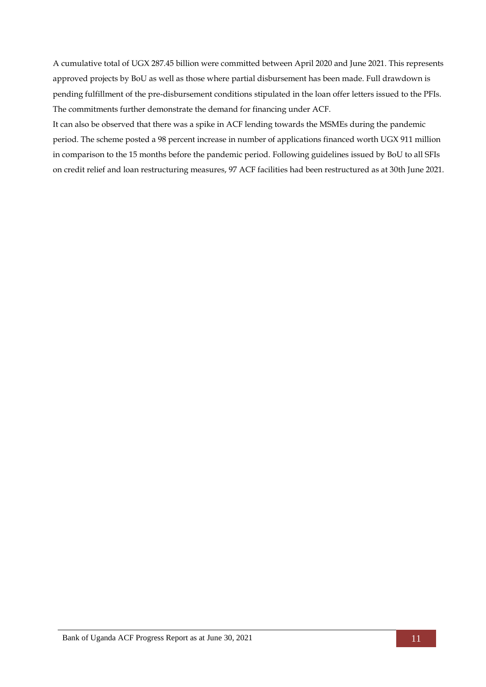A cumulative total of UGX 287.45 billion were committed between April 2020 and June 2021. This represents approved projects by BoU as well as those where partial disbursement has been made. Full drawdown is pending fulfillment of the pre-disbursement conditions stipulated in the loan offer letters issued to the PFIs. The commitments further demonstrate the demand for financing under ACF.

It can also be observed that there was a spike in ACF lending towards the MSMEs during the pandemic period. The scheme posted a 98 percent increase in number of applications financed worth UGX 911 million in comparison to the 15 months before the pandemic period. Following guidelines issued by BoU to all SFIs on credit relief and loan restructuring measures, 97 ACF facilities had been restructured as at 30th June 2021.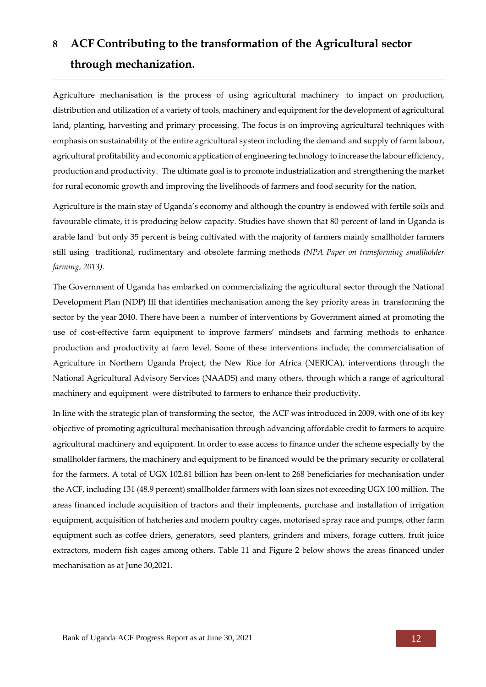# <span id="page-16-0"></span>**8 ACF Contributing to the transformation of the Agricultural sector through mechanization.**

Agriculture mechanisation is the process of using agricultural machinery to impact on production, distribution and utilization of a variety of tools, machinery and equipment for the development of agricultural land, planting, harvesting and primary processing. The focus is on improving agricultural techniques with emphasis on sustainability of the entire agricultural system including the demand and supply of farm labour, agricultural profitability and economic application of engineering technology to increase the labour efficiency, production and productivity. The ultimate goal is to promote industrialization and strengthening the market for rural economic growth and improving the livelihoods of farmers and food security for the nation.

Agriculture is the main stay of Uganda's economy and although the country is endowed with fertile soils and favourable climate, it is producing below capacity. Studies have shown that 80 percent of land in Uganda is arable land but only 35 percent is being cultivated with the majority of farmers mainly smallholder farmers still using traditional, rudimentary and obsolete farming methods *(NPA Paper on transforming smallholder farming, 2013).*

The Government of Uganda has embarked on commercializing the agricultural sector through the National Development Plan (NDP) III that identifies mechanisation among the key priority areas in transforming the sector by the year 2040. There have been a number of interventions by Government aimed at promoting the use of cost-effective farm equipment to improve farmers' mindsets and farming methods to enhance production and productivity at farm level. Some of these interventions include; the commercialisation of Agriculture in Northern Uganda Project, the New Rice for Africa (NERICA), interventions through the National Agricultural Advisory Services (NAADS) and many others, through which a range of agricultural machinery and equipment were distributed to farmers to enhance their productivity.

In line with the strategic plan of transforming the sector, the ACF was introduced in 2009, with one of its key objective of promoting agricultural mechanisation through advancing affordable credit to farmers to acquire agricultural machinery and equipment. In order to ease access to finance under the scheme especially by the smallholder farmers, the machinery and equipment to be financed would be the primary security or collateral for the farmers. A total of UGX 102.81 billion has been on-lent to 268 beneficiaries for mechanisation under the ACF, including 131 (48.9 percent) smallholder farmers with loan sizes not exceeding UGX 100 million. The areas financed include acquisition of tractors and their implements, purchase and installation of irrigation equipment, acquisition of hatcheries and modern poultry cages, motorised spray race and pumps, other farm equipment such as coffee driers, generators, seed planters, grinders and mixers, forage cutters, fruit juice extractors, modern fish cages among others. [Table 11](#page-17-1) and Figure 2 below shows the areas financed under mechanisation as at June 30,2021.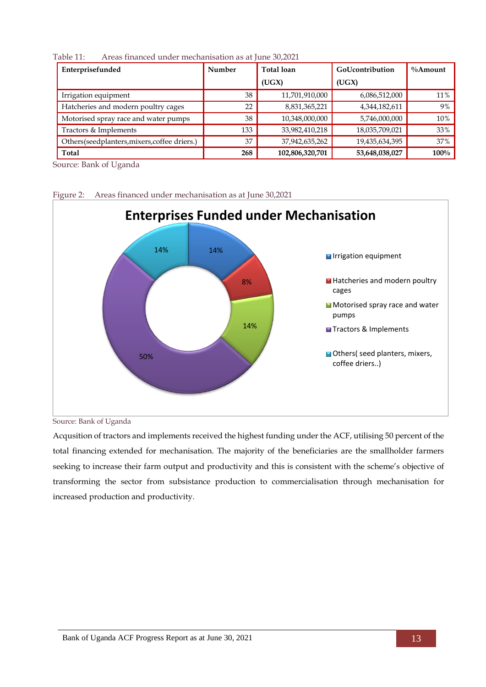| Enterprisefunded                             | Number | Total loan      | GoUcontribution | $\%A$ mount |
|----------------------------------------------|--------|-----------------|-----------------|-------------|
|                                              |        | (UGX)           | (UGX)           |             |
| Irrigation equipment                         | 38     | 11,701,910,000  | 6,086,512,000   | 11%         |
| Hatcheries and modern poultry cages          | 22     | 8,831,365,221   | 4,344,182,611   | 9%          |
| Motorised spray race and water pumps         | 38     | 10,348,000,000  | 5,746,000,000   | 10%         |
| Tractors & Implements                        | 133    | 33,982,410,218  | 18,035,709,021  | 33%         |
| Others(seedplanters, mixers, coffee driers.) | 37     | 37,942,635,262  | 19,435,634,395  | 37%         |
| Total                                        | 268    | 102,806,320,701 | 53,648,038,027  | 100%        |

<span id="page-17-1"></span>Table 11: Areas financed under mechanisation as at June 30,2021

Source: Bank of Uganda

14% 8% 14% 50% 14% **Enterprises Funded under Mechanisation** Irrigation equipment Hatcheries and modern poultry cages Motorised spray race and water pumps **T**Tractors & Implements Others( seed planters, mixers, coffee driers..)

<span id="page-17-0"></span>Figure 2: Areas financed under mechanisation as at June 30,2021

Source: Bank of Uganda

Acqusition of tractors and implements received the highest funding under the ACF, utilising 50 percent of the total financing extended for mechanisation. The majority of the beneficiaries are the smallholder farmers seeking to increase their farm output and productivity and this is consistent with the scheme's objective of transforming the sector from subsistance production to commercialisation through mechanisation for increased production and productivity.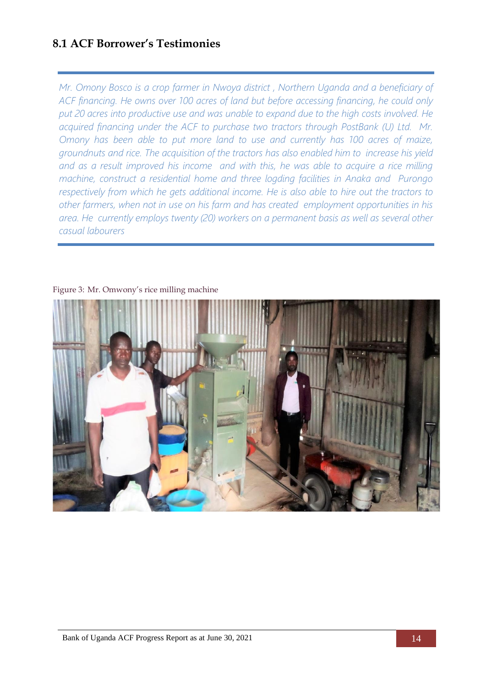## **8.1 ACF Borrower's Testimonies**

*Mr. Omony Bosco is a crop farmer in Nwoya district , Northern Uganda and a beneficiary of ACF financing. He owns over 100 acres of land but before accessing financing, he could only put 20 acres into productive use and was unable to expand due to the high costs involved. He acquired financing under the ACF to purchase two tractors through PostBank (U) Ltd. Mr. Omony has been able to put more land to use and currently has 100 acres of maize, groundnuts and rice. The acquisition of the tractors has also enabled him to increase his yield and as a result improved his income and with this, he was able to acquire a rice milling machine, construct a residential home and three logding facilities in Anaka and Purongo respectively from which he gets additional income. He is also able to hire out the tractors to other farmers, when not in use on his farm and has created employment opportunities in his area. He currently employs twenty (20) workers on a permanent basis as well as several other casual labourers*

<span id="page-18-0"></span>

Figure 3: Mr. Omwony's rice milling machine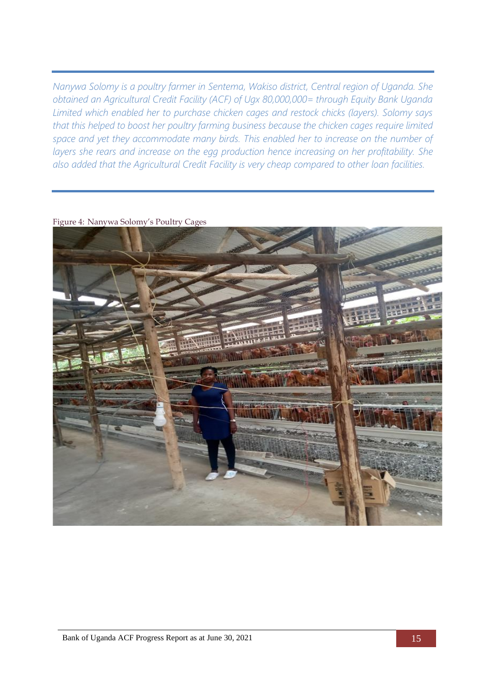*Nanywa Solomy is a poultry farmer in Sentema, Wakiso district, Central region of Uganda. She obtained an Agricultural Credit Facility (ACF) of Ugx 80,000,000= through Equity Bank Uganda Limited which enabled her to purchase chicken cages and restock chicks (layers). Solomy says that this helped to boost her poultry farming business because the chicken cages require limited space and yet they accommodate many birds. This enabled her to increase on the number of layers she rears and increase on the egg production hence increasing on her profitability. She also added that the Agricultural Credit Facility is very cheap compared to other loan facilities.*

<span id="page-19-0"></span>

Figure 4: Nanywa Solomy's Poultry Cages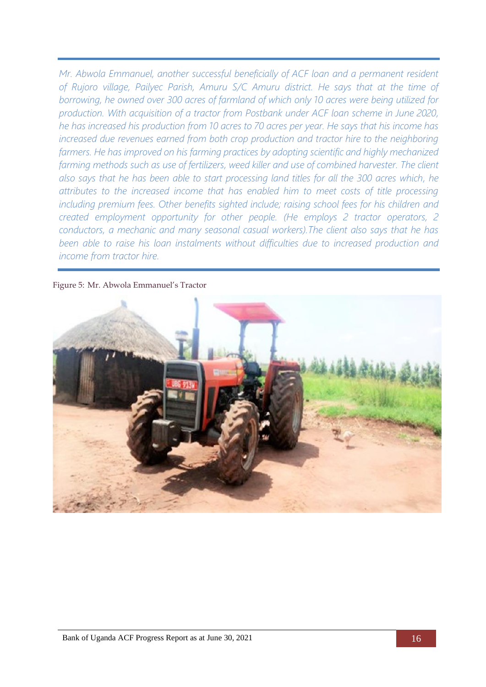*Mr. Abwola Emmanuel, another successful beneficially of ACF loan and a permanent resident of Rujoro village, Pailyec Parish, Amuru S/C Amuru district. He says that at the time of borrowing, he owned over 300 acres of farmland of which only 10 acres were being utilized for production. With acquisition of a tractor from Postbank under ACF loan scheme in June 2020, he has increased his production from 10 acres to 70 acres per year. He says that his income has increased due revenues earned from both crop production and tractor hire to the neighboring farmers. He has improved on his farming practices by adopting scientific and highly mechanized farming methods such as use of fertilizers, weed killer and use of combined harvester. The client also says that he has been able to start processing land titles for all the 300 acres which, he attributes to the increased income that has enabled him to meet costs of title processing including premium fees. Other benefits sighted include; raising school fees for his children and created employment opportunity for other people. (He employs 2 tractor operators, 2 conductors, a mechanic and many seasonal casual workers).The client also says that he has been able to raise his loan instalments without difficulties due to increased production and income from tractor hire.*

<span id="page-20-0"></span>Figure 5: Mr. Abwola Emmanuel's Tractor

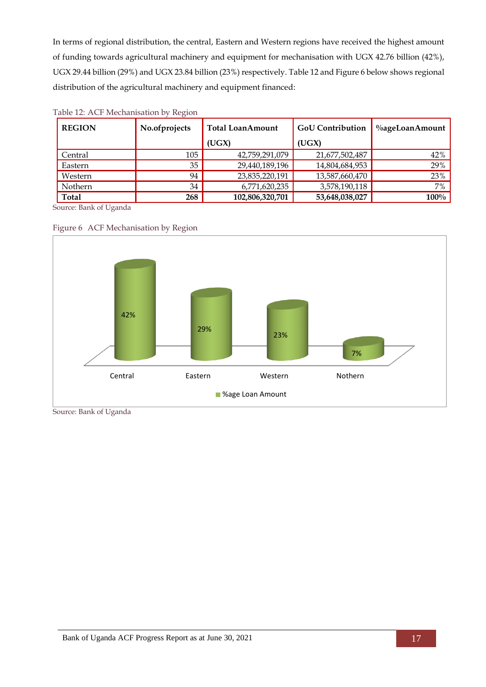In terms of regional distribution, the central, Eastern and Western regions have received the highest amount of funding towards agricultural machinery and equipment for mechanisation with UGX 42.76 billion (42%), UGX 29.44 billion (29%) and UGX 23.84 billion (23%) respectively. [Table 12](#page-21-1) and [Figure 6](#page-21-0) below shows regional distribution of the agricultural machinery and equipment financed:

| <b>REGION</b> | No.ofprojects | <b>Total LoanAmount</b> | <b>GoU Contribution</b> | %ageLoanAmount |
|---------------|---------------|-------------------------|-------------------------|----------------|
|               |               | (UGX)                   | (UGX)                   |                |
| Central       | 105           | 42,759,291,079          | 21,677,502,487          | 42%            |
| Eastern       | 35            | 29,440,189,196          | 14,804,684,953          | 29%            |
| Western       | 94            | 23,835,220,191          | 13,587,660,470          | 23%            |
| Nothern       | 34            | 6,771,620,235           | 3,578,190,118           | 7%             |
| Total         | 268           | 102,806,320,701         | 53,648,038,027          | $100\%$        |

### <span id="page-21-1"></span>Table 12: ACF Mechanisation by Region

<span id="page-21-0"></span>



Source: Bank of Uganda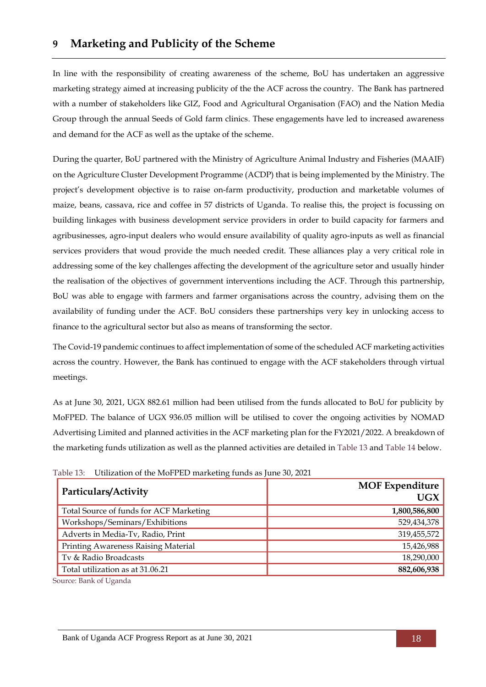## <span id="page-22-0"></span>**9 Marketing and Publicity of the Scheme**

In line with the responsibility of creating awareness of the scheme, BoU has undertaken an aggressive marketing strategy aimed at increasing publicity of the the ACF across the country. The Bank has partnered with a number of stakeholders like GIZ, Food and Agricultural Organisation (FAO) and the Nation Media Group through the annual Seeds of Gold farm clinics. These engagements have led to increased awareness and demand for the ACF as well as the uptake of the scheme.

During the quarter, BoU partnered with the Ministry of Agriculture Animal Industry and Fisheries (MAAIF) on the Agriculture Cluster Development Programme (ACDP) that is being implemented by the Ministry. The project's development objective is to raise on-farm productivity, production and marketable volumes of maize, beans, cassava, rice and coffee in 57 districts of Uganda. To realise this, the project is focussing on building linkages with business development service providers in order to build capacity for farmers and agribusinesses, agro-input dealers who would ensure availability of quality agro-inputs as well as financial services providers that woud provide the much needed credit. These alliances play a very critical role in addressing some of the key challenges affecting the development of the agriculture setor and usually hinder the realisation of the objectives of government interventions including the ACF. Through this partnership, BoU was able to engage with farmers and farmer organisations across the country, advising them on the availability of funding under the ACF. BoU considers these partnerships very key in unlocking access to finance to the agricultural sector but also as means of transforming the sector.

The Covid-19 pandemic continues to affect implementation of some of the scheduled ACF marketing activities across the country. However, the Bank has continued to engage with the ACF stakeholders through virtual meetings.

As at June 30, 2021, UGX 882.61 million had been utilised from the funds allocated to BoU for publicity by MoFPED. The balance of UGX 936.05 million will be utilised to cover the ongoing activities by NOMAD Advertising Limited and planned activities in the ACF marketing plan for the FY2021/2022. A breakdown of the marketing funds utilization as well as the planned activities are detailed in [Table 13](#page-22-1) and [Table 14](#page-23-0) below.

| Particulars/Activity                    | <b>MOF Expenditure</b><br><b>UGX</b> |
|-----------------------------------------|--------------------------------------|
| Total Source of funds for ACF Marketing | 1,800,586,800                        |
| Workshops/Seminars/Exhibitions          | 529,434,378                          |
| Adverts in Media-Tv, Radio, Print       | 319,455,572                          |
| Printing Awareness Raising Material     | 15,426,988                           |
| Tv & Radio Broadcasts                   | 18,290,000                           |
| Total utilization as at 31.06.21        | 882,606,938                          |

<span id="page-22-1"></span>Table 13: Utilization of the MoFPED marketing funds as June 30, 2021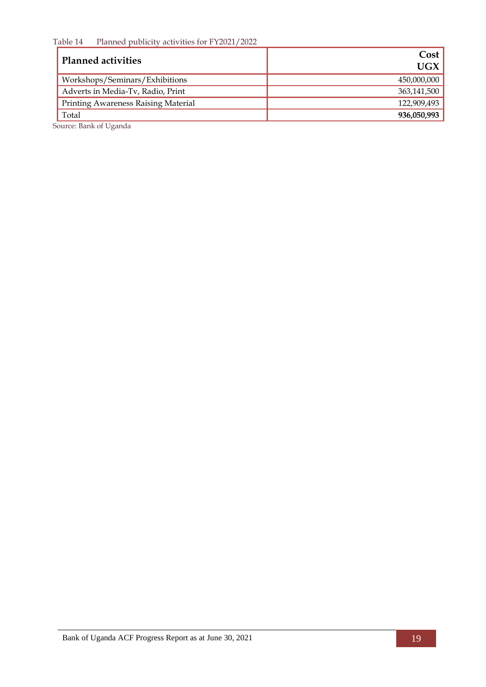<span id="page-23-0"></span>Table 14 Planned publicity activities for FY2021/2022

| <b>Planned activities</b>           | Cost<br>UGX |
|-------------------------------------|-------------|
| Workshops/Seminars/Exhibitions      | 450,000,000 |
| Adverts in Media-Tv, Radio, Print   | 363,141,500 |
| Printing Awareness Raising Material | 122,909,493 |
| Total                               | 936,050,993 |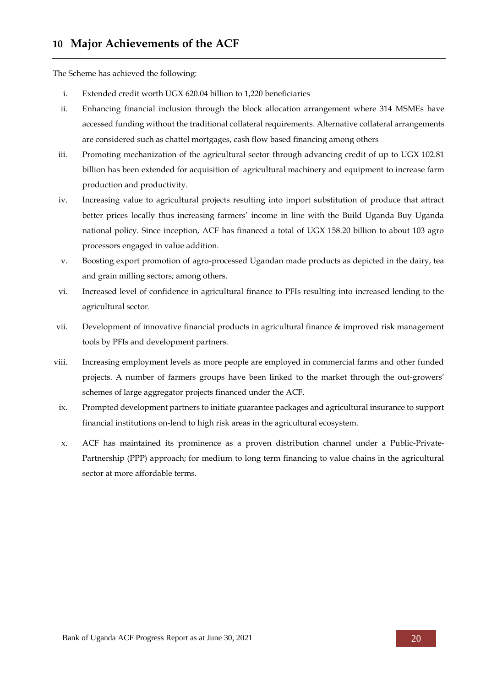<span id="page-24-0"></span>The Scheme has achieved the following:

- i. Extended credit worth UGX 620.04 billion to 1,220 beneficiaries
- ii. Enhancing financial inclusion through the block allocation arrangement where 314 MSMEs have accessed funding without the traditional collateral requirements. Alternative collateral arrangements are considered such as chattel mortgages, cash flow based financing among others
- iii. Promoting mechanization of the agricultural sector through advancing credit of up to UGX 102.81 billion has been extended for acquisition of agricultural machinery and equipment to increase farm production and productivity.
- iv. Increasing value to agricultural projects resulting into import substitution of produce that attract better prices locally thus increasing farmers' income in line with the Build Uganda Buy Uganda national policy. Since inception, ACF has financed a total of UGX 158.20 billion to about 103 agro processors engaged in value addition.
- v. Boosting export promotion of agro-processed Ugandan made products as depicted in the dairy, tea and grain milling sectors; among others.
- vi. Increased level of confidence in agricultural finance to PFIs resulting into increased lending to the agricultural sector.
- vii. Development of innovative financial products in agricultural finance & improved risk management tools by PFIs and development partners.
- viii. Increasing employment levels as more people are employed in commercial farms and other funded projects. A number of farmers groups have been linked to the market through the out-growers' schemes of large aggregator projects financed under the ACF.
- ix. Prompted development partners to initiate guarantee packages and agricultural insurance to support financial institutions on-lend to high risk areas in the agricultural ecosystem.
- x. ACF has maintained its prominence as a proven distribution channel under a Public-Private-Partnership (PPP) approach; for medium to long term financing to value chains in the agricultural sector at more affordable terms.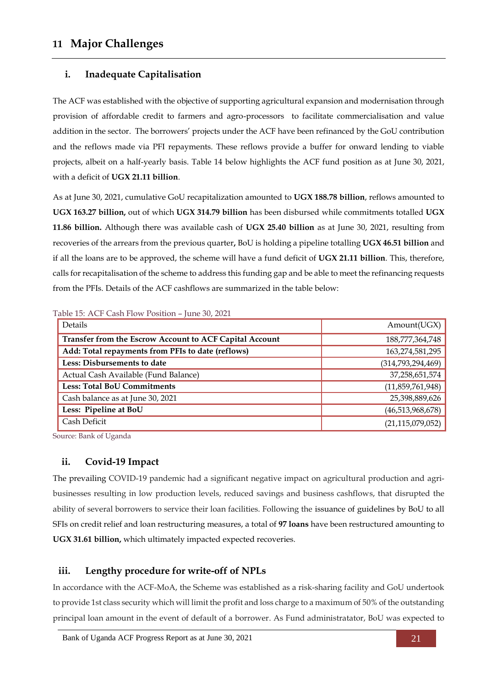### <span id="page-25-0"></span>**i. Inadequate Capitalisation**

The ACF was established with the objective of supporting agricultural expansion and modernisation through provision of affordable credit to farmers and agro-processors to facilitate commercialisation and value addition in the sector. The borrowers' projects under the ACF have been refinanced by the GoU contribution and the reflows made via PFI repayments. These reflows provide a buffer for onward lending to viable projects, albeit on a half-yearly basis. Table 14 below highlights the ACF fund position as at June 30, 2021, with a deficit of **UGX 21.11 billion**.

As at June 30, 2021, cumulative GoU recapitalization amounted to **UGX 188.78 billion**, reflows amounted to **UGX 163.27 billion,** out of which **UGX 314.79 billion** has been disbursed while commitments totalled **UGX 11.86 billion.** Although there was available cash of **UGX 25.40 billion** as at June 30, 2021, resulting from recoveries of the arrears from the previous quarter**,** BoU is holding a pipeline totalling **UGX 46.51 billion** and if all the loans are to be approved, the scheme will have a fund deficit of **UGX 21.11 billion**. This, therefore, calls for recapitalisation of the scheme to address this funding gap and be able to meet the refinancing requests from the PFIs. Details of the ACF cashflows are summarized in the table below:

| <b>Lavie 19.</b> ACT Casti Flow T 0shoot = fune 90, 2021 |  |  |  |  |
|----------------------------------------------------------|--|--|--|--|
| Amount(UGX)                                              |  |  |  |  |
| 188,777,364,748                                          |  |  |  |  |
| 163,274,581,295                                          |  |  |  |  |
| (314,793,294,469)                                        |  |  |  |  |
| 37,258,651,574                                           |  |  |  |  |
| (11,859,761,948)                                         |  |  |  |  |
| 25,398,889,626                                           |  |  |  |  |
| (46,513,968,678)                                         |  |  |  |  |
| (21, 115, 079, 052)                                      |  |  |  |  |
|                                                          |  |  |  |  |

<span id="page-25-1"></span>Table 15: ACF Cash Flow Position – June 30, 2021

Source: Bank of Uganda

### **ii. Covid-19 Impact**

The prevailing COVID-19 pandemic had a significant negative impact on agricultural production and agribusinesses resulting in low production levels, reduced savings and business cashflows, that disrupted the ability of several borrowers to service their loan facilities. Following the issuance of guidelines by BoU to all SFIs on credit relief and loan restructuring measures, a total of **97 loans** have been restructured amounting to **UGX 31.61 billion,** which ultimately impacted expected recoveries.

### **iii. Lengthy procedure for write-off of NPLs**

In accordance with the ACF-MoA, the Scheme was established as a risk-sharing facility and GoU undertook to provide 1st class security which will limit the profit and loss charge to a maximum of 50% of the outstanding principal loan amount in the event of default of a borrower. As Fund administratator, BoU was expected to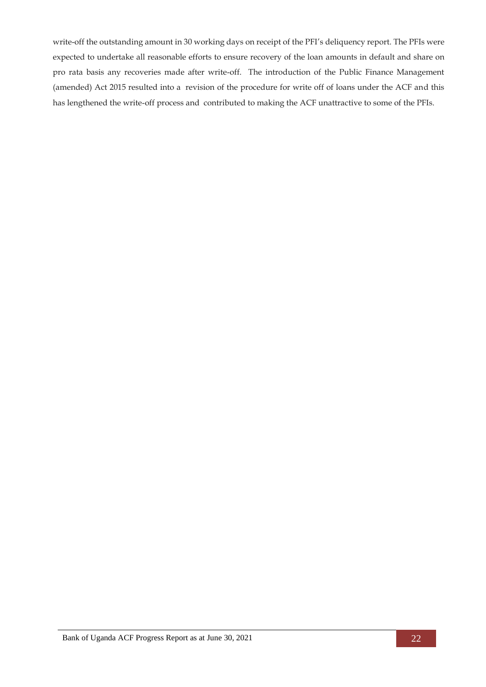write-off the outstanding amount in 30 working days on receipt of the PFI's deliquency report. The PFIs were expected to undertake all reasonable efforts to ensure recovery of the loan amounts in default and share on pro rata basis any recoveries made after write-off. The introduction of the Public Finance Management (amended) Act 2015 resulted into a revision of the procedure for write off of loans under the ACF and this has lengthened the write-off process and contributed to making the ACF unattractive to some of the PFIs.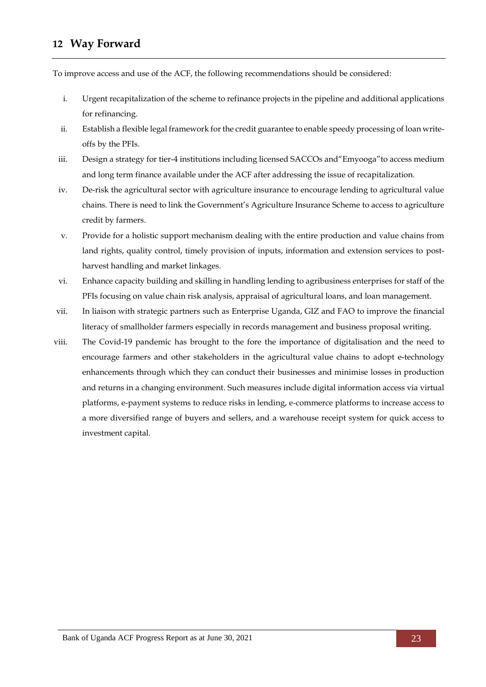## <span id="page-27-0"></span>**12 Way Forward**

To improve access and use of the ACF, the following recommendations should be considered:

- i. Urgent recapitalization of the scheme to refinance projects in the pipeline and additional applications for refinancing.
- ii. Establish a flexible legal framework for the credit guarantee to enable speedy processing of loan writeoffs by the PFIs.
- iii. Design a strategy for tier-4 institutions including licensed SACCOs and"Emyooga"to access medium and long term finance available under the ACF after addressing the issue of recapitalization.
- iv. De-risk the agricultural sector with agriculture insurance to encourage lending to agricultural value chains. There is need to link the Government's Agriculture Insurance Scheme to access to agriculture credit by farmers.
- v. Provide for a holistic support mechanism dealing with the entire production and value chains from land rights, quality control, timely provision of inputs, information and extension services to postharvest handling and market linkages.
- vi. Enhance capacity building and skilling in handling lending to agribusiness enterprises for staff of the PFIs focusing on value chain risk analysis, appraisal of agricultural loans, and loan management.
- vii. In liaison with strategic partners such as Enterprise Uganda, GIZ and FAO to improve the financial literacy of smallholder farmers especially in records management and business proposal writing.
- viii. The Covid-19 pandemic has brought to the fore the importance of digitalisation and the need to encourage farmers and other stakeholders in the agricultural value chains to adopt e-technology enhancements through which they can conduct their businesses and minimise losses in production and returns in a changing environment. Such measures include digital information access via virtual platforms, e-payment systems to reduce risks in lending, e-commerce platforms to increase access to a more diversified range of buyers and sellers, and a warehouse receipt system for quick access to investment capital.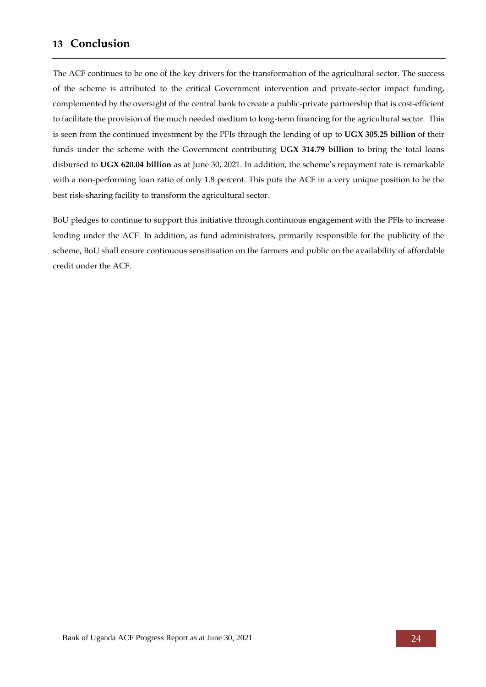### <span id="page-28-0"></span>**13 Conclusion**

The ACF continues to be one of the key drivers for the transformation of the agricultural sector. The success of the scheme is attributed to the critical Government intervention and private-sector impact funding, complemented by the oversight of the central bank to create a public-private partnership that is cost-efficient to facilitate the provision of the much needed medium to long-term financing for the agricultural sector. This is seen from the continued investment by the PFIs through the lending of up to **UGX 305.25 billion** of their funds under the scheme with the Government contributing **UGX 314.79 billion** to bring the total loans disbursed to **UGX 620.04 billion** as at June 30, 2021. In addition, the scheme's repayment rate is remarkable with a non-performing loan ratio of only 1.8 percent. This puts the ACF in a very unique position to be the best risk-sharing facility to transform the agricultural sector.

BoU pledges to continue to support this initiative through continuous engagement with the PFIs to increase lending under the ACF. In addition, as fund administrators, primarily responsible for the publicity of the scheme, BoU shall ensure continuous sensitisation on the farmers and public on the availability of affordable credit under the ACF.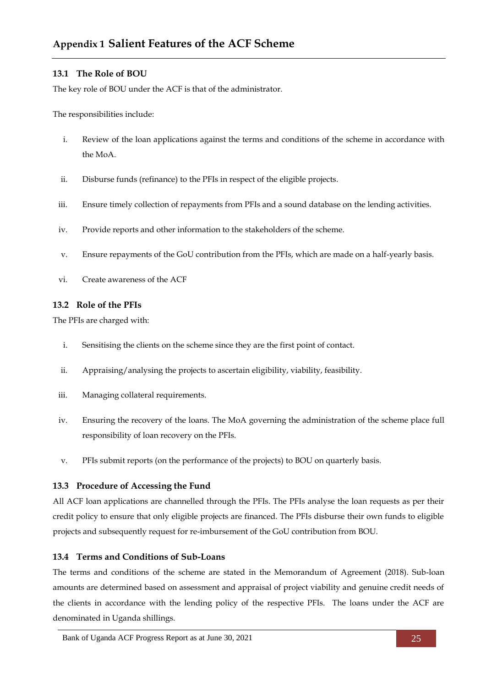### <span id="page-29-0"></span>**13.1 The Role of BOU**

The key role of BOU under the ACF is that of the administrator.

The responsibilities include:

- i. Review of the loan applications against the terms and conditions of the scheme in accordance with the MoA.
- ii. Disburse funds (refinance) to the PFIs in respect of the eligible projects.
- iii. Ensure timely collection of repayments from PFIs and a sound database on the lending activities.
- iv. Provide reports and other information to the stakeholders of the scheme.
- v. Ensure repayments of the GoU contribution from the PFIs, which are made on a half-yearly basis.
- vi. Create awareness of the ACF

#### **13.2 Role of the PFIs**

The PFIs are charged with:

- i. Sensitising the clients on the scheme since they are the first point of contact.
- ii. Appraising/analysing the projects to ascertain eligibility, viability, feasibility.
- iii. Managing collateral requirements.
- iv. Ensuring the recovery of the loans. The MoA governing the administration of the scheme place full responsibility of loan recovery on the PFIs.
- v. PFIs submit reports (on the performance of the projects) to BOU on quarterly basis.

#### **13.3 Procedure of Accessing the Fund**

All ACF loan applications are channelled through the PFIs. The PFIs analyse the loan requests as per their credit policy to ensure that only eligible projects are financed. The PFIs disburse their own funds to eligible projects and subsequently request for re-imbursement of the GoU contribution from BOU.

#### **13.4 Terms and Conditions of Sub-Loans**

The terms and conditions of the scheme are stated in the Memorandum of Agreement (2018). Sub-loan amounts are determined based on assessment and appraisal of project viability and genuine credit needs of the clients in accordance with the lending policy of the respective PFIs. The loans under the ACF are denominated in Uganda shillings.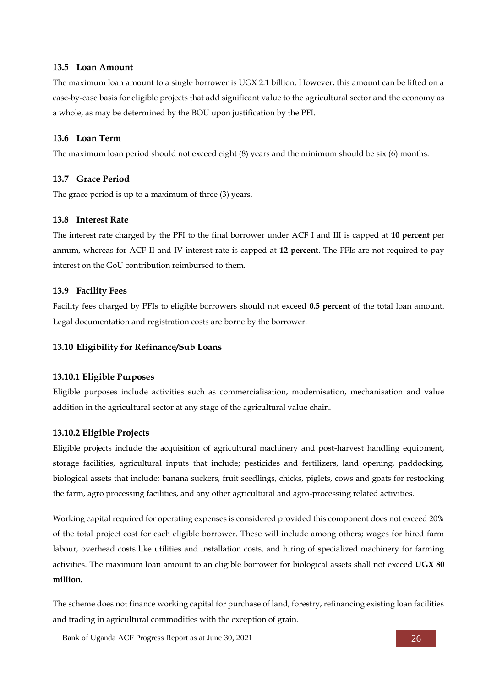#### **13.5 Loan Amount**

The maximum loan amount to a single borrower is UGX 2.1 billion. However, this amount can be lifted on a case-by-case basis for eligible projects that add significant value to the agricultural sector and the economy as a whole, as may be determined by the BOU upon justification by the PFI.

#### **13.6 Loan Term**

The maximum loan period should not exceed eight (8) years and the minimum should be six (6) months.

### **13.7 Grace Period**

The grace period is up to a maximum of three (3) years.

### **13.8 Interest Rate**

The interest rate charged by the PFI to the final borrower under ACF I and III is capped at **10 percent** per annum, whereas for ACF II and IV interest rate is capped at **12 percent**. The PFIs are not required to pay interest on the GoU contribution reimbursed to them.

### **13.9 Facility Fees**

Facility fees charged by PFIs to eligible borrowers should not exceed **0.5 percent** of the total loan amount. Legal documentation and registration costs are borne by the borrower.

#### **13.10 Eligibility for Refinance/Sub Loans**

#### **13.10.1 Eligible Purposes**

Eligible purposes include activities such as commercialisation, modernisation, mechanisation and value addition in the agricultural sector at any stage of the agricultural value chain.

### **13.10.2 Eligible Projects**

Eligible projects include the acquisition of agricultural machinery and post-harvest handling equipment, storage facilities, agricultural inputs that include; pesticides and fertilizers, land opening, paddocking, biological assets that include; banana suckers, fruit seedlings, chicks, piglets, cows and goats for restocking the farm, agro processing facilities, and any other agricultural and agro-processing related activities.

Working capital required for operating expenses is considered provided this component does not exceed 20% of the total project cost for each eligible borrower. These will include among others; wages for hired farm labour, overhead costs like utilities and installation costs, and hiring of specialized machinery for farming activities. The maximum loan amount to an eligible borrower for biological assets shall not exceed **UGX 80 million.**

The scheme does not finance working capital for purchase of land, forestry, refinancing existing loan facilities and trading in agricultural commodities with the exception of grain.